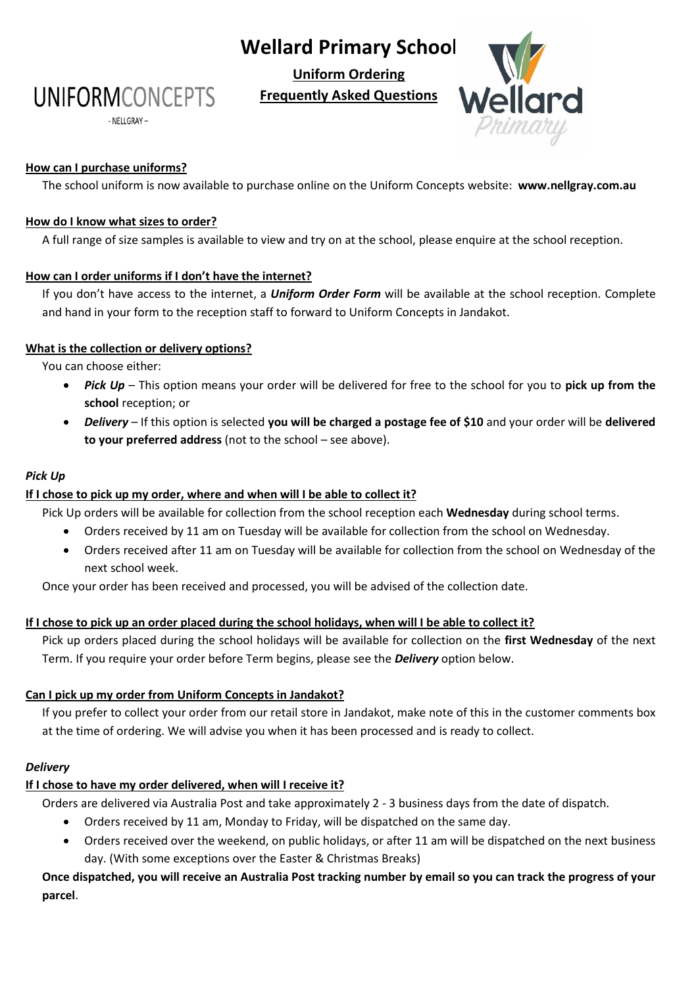# **Wellard Primary School**

**Uniform Ordering**

**Frequently Asked Questions**



# **How can I purchase uniforms?**

The school uniform is now available to purchase online on the Uniform Concepts website: **www.nellgray.com.au**

#### **How do I know what sizes to order?**

**UNIFORMCONCEPTS** 

- NELLGRAY -

A full range of size samples is available to view and try on at the school, please enquire at the school reception.

# **How can I order uniforms if I don't have the internet?**

If you don't have access to the internet, a *Uniform Order Form* will be available at the school reception. Complete and hand in your form to the reception staff to forward to Uniform Concepts in Jandakot.

# **What is the collection or delivery options?**

You can choose either:

- *Pick Up* This option means your order will be delivered for free to the school for you to **pick up from the school** reception; or
- *Delivery* If this option is selected **you will be charged a postage fee of \$10** and your order will be **delivered to your preferred address** (not to the school – see above).

# *Pick Up*

#### **If I chose to pick up my order, where and when will I be able to collect it?**

Pick Up orders will be available for collection from the school reception each **Wednesday** during school terms.

- Orders received by 11 am on Tuesday will be available for collection from the school on Wednesday.
- Orders received after 11 am on Tuesday will be available for collection from the school on Wednesday of the next school week.

Once your order has been received and processed, you will be advised of the collection date.

#### **If I chose to pick up an order placed during the school holidays, when will I be able to collect it?**

Pick up orders placed during the school holidays will be available for collection on the **first Wednesday** of the next Term. If you require your order before Term begins, please see the *Delivery* option below.

#### **Can I pick up my order from Uniform Concepts in Jandakot?**

If you prefer to collect your order from our retail store in Jandakot, make note of this in the customer comments box at the time of ordering. We will advise you when it has been processed and is ready to collect.

#### *Delivery*

# **If I chose to have my order delivered, when will I receive it?**

Orders are delivered via Australia Post and take approximately 2 - 3 business days from the date of dispatch.

- Orders received by 11 am, Monday to Friday, will be dispatched on the same day.
- Orders received over the weekend, on public holidays, or after 11 am will be dispatched on the next business day. (With some exceptions over the Easter & Christmas Breaks)

**Once dispatched, you will receive an Australia Post tracking number by email so you can track the progress of your parcel**.